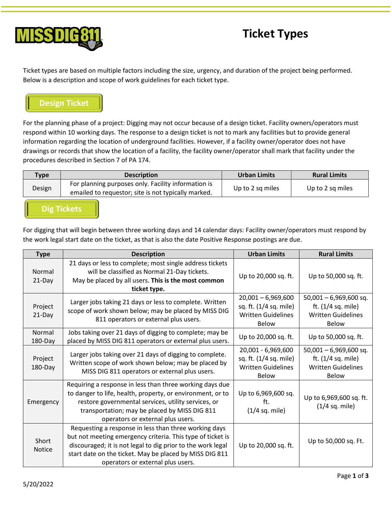



Ticket types are based on multiple factors including the size, urgency, and duration of the project being performed. Below is a description and scope of work guidelines for each ticket type.

## **Design Ticket**

For the planning phase of a project: Digging may not occur because of a design ticket. Facility owners/operators must respond within 10 working days. The response to a design ticket is not to mark any facilities but to provide general information regarding the location of underground facilities. However, if a facility owner/operator does not have drawings or records that show the location of a facility, the facility owner/operator shall mark that facility under the procedures described in Section 7 of PA 174.

| Type   | <b>Description</b>                                                                                         | Urban Limits     | <b>Rural Limits</b> |
|--------|------------------------------------------------------------------------------------------------------------|------------------|---------------------|
| Design | For planning purposes only. Facility information is<br>emailed to requestor; site is not typically marked. | Up to 2 sq miles | Up to 2 sq miles    |

**Dig Tickets**

For digging that will begin between three working days and 14 calendar days: Facility owner/operators must respond by the work legal start date on the ticket, as that is also the date Positive Response postings are due.

| <b>Type</b>            | <b>Description</b>                                                                                                                                                                                                                                                                 | <b>Urban Limits</b>                                                                         | <b>Rural Limits</b>                                                                           |
|------------------------|------------------------------------------------------------------------------------------------------------------------------------------------------------------------------------------------------------------------------------------------------------------------------------|---------------------------------------------------------------------------------------------|-----------------------------------------------------------------------------------------------|
| Normal<br>21-Day       | 21 days or less to complete; most single address tickets<br>will be classified as Normal 21-Day tickets.<br>May be placed by all users. This is the most common<br>ticket type.                                                                                                    | Up to 20,000 sq. ft.                                                                        | Up to 50,000 sq. ft.                                                                          |
| Project<br>21-Day      | Larger jobs taking 21 days or less to complete. Written<br>scope of work shown below; may be placed by MISS DIG<br>811 operators or external plus users.                                                                                                                           | $20,001 - 6,969,600$<br>sq. ft. (1/4 sq. mile)<br><b>Written Guidelines</b><br><b>Below</b> | $50,001 - 6,969,600$ sq.<br>ft. $(1/4$ sq. mile)<br><b>Written Guidelines</b><br><b>Below</b> |
| Normal<br>$180$ -Day   | Jobs taking over 21 days of digging to complete; may be<br>placed by MISS DIG 811 operators or external plus users.                                                                                                                                                                | Up to 20,000 sq. ft.                                                                        | Up to 50,000 sq. ft.                                                                          |
| Project<br>180-Day     | Larger jobs taking over 21 days of digging to complete.<br>Written scope of work shown below; may be placed by<br>MISS DIG 811 operators or external plus users.                                                                                                                   | 20,001 - 6,969,600<br>sq. ft. (1/4 sq. mile)<br><b>Written Guidelines</b><br><b>Below</b>   | $50,001 - 6,969,600$ sq.<br>ft. (1/4 sq. mile)<br><b>Written Guidelines</b><br><b>Below</b>   |
| Emergency              | Requiring a response in less than three working days due<br>to danger to life, health, property, or environment, or to<br>restore governmental services, utility services, or<br>transportation; may be placed by MISS DIG 811<br>operators or external plus users.                | Up to 6,969,600 sq.<br>ft.<br>(1/4 sq. mile)                                                | Up to 6,969,600 sq. ft.<br>$(1/4$ sq. mile)                                                   |
| Short<br><b>Notice</b> | Requesting a response in less than three working days<br>but not meeting emergency criteria. This type of ticket is<br>discouraged; it is not legal to dig prior to the work legal<br>start date on the ticket. May be placed by MISS DIG 811<br>operators or external plus users. | Up to 20,000 sq. ft.                                                                        | Up to 50,000 sq. Ft.                                                                          |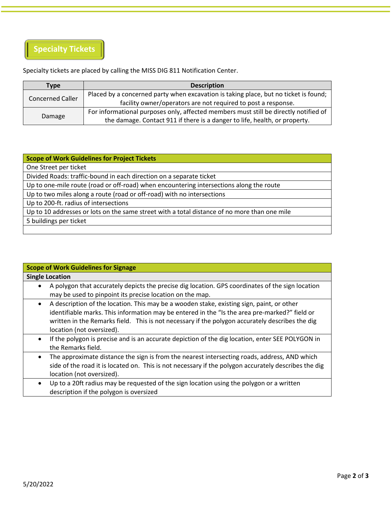

Specialty tickets are placed by calling the MISS DIG 811 Notification Center.

| <b>Type</b>             | <b>Description</b>                                                                   |
|-------------------------|--------------------------------------------------------------------------------------|
| <b>Concerned Caller</b> | Placed by a concerned party when excavation is taking place, but no ticket is found; |
|                         | facility owner/operators are not required to post a response.                        |
|                         | For informational purposes only, affected members must still be directly notified of |
| Damage                  | the damage. Contact 911 if there is a danger to life, health, or property.           |

## **Scope of Work Guidelines for Project Tickets**

One Street per ticket

Divided Roads: traffic-bound in each direction on a separate ticket

Up to one-mile route (road or off-road) when encountering intersections along the route

Up to two miles along a route (road or off-road) with no intersections

Up to 200-ft. radius of intersections

Up to 10 addresses or lots on the same street with a total distance of no more than one mile

5 buildings per ticket

| <b>Scope of Work Guidelines for Signage</b>                                                                                                                                                                                       |
|-----------------------------------------------------------------------------------------------------------------------------------------------------------------------------------------------------------------------------------|
| <b>Single Location</b>                                                                                                                                                                                                            |
| A polygon that accurately depicts the precise dig location. GPS coordinates of the sign location<br>٠                                                                                                                             |
| may be used to pinpoint its precise location on the map.                                                                                                                                                                          |
| A description of the location. This may be a wooden stake, existing sign, paint, or other<br>$\bullet$<br>identifiable marks. This information may be entered in the "Is the area pre-marked?" field or                           |
| written in the Remarks field. This is not necessary if the polygon accurately describes the dig<br>location (not oversized).                                                                                                      |
| If the polygon is precise and is an accurate depiction of the dig location, enter SEE POLYGON in<br>$\bullet$<br>the Remarks field.                                                                                               |
| The approximate distance the sign is from the nearest intersecting roads, address, AND which<br>side of the road it is located on. This is not necessary if the polygon accurately describes the dig<br>location (not oversized). |
| Up to a 20ft radius may be requested of the sign location using the polygon or a written<br>$\bullet$<br>description if the polygon is oversized                                                                                  |